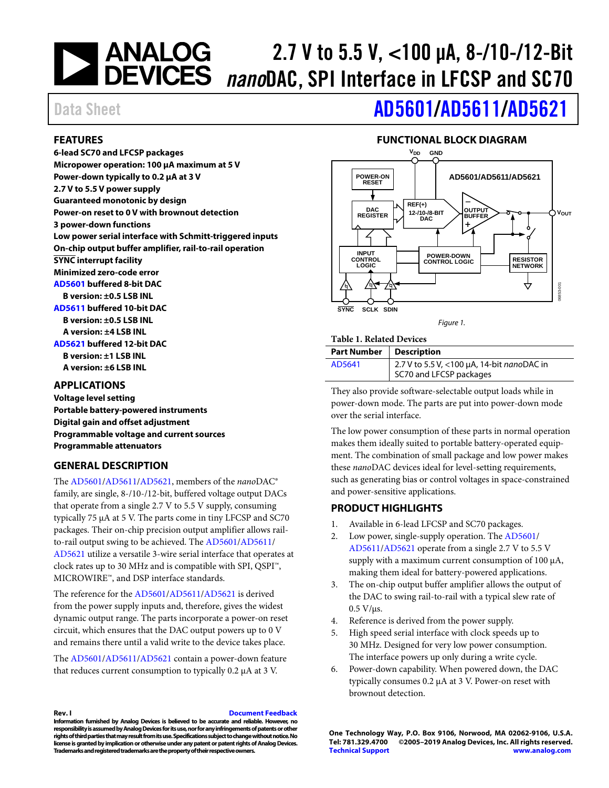### **NEXALLOG**<br>DEVICES 2.7 V to 5.5 V, <100 μA, 8-/10-/12-Bit *nano*DAC, SPI Interface in LFCSP and SC70

# Data Sheet **[AD5601/](http://www.analog.com/AD5601?doc=AD5601_5611_5621.pdf)[AD5611](http://www.analog.com/AD5611?doc=AD5601_5611_5621.pdf)[/AD5621](http://www.analog.com/AD5621?doc=AD5601_5611_5621.pdf)**

#### <span id="page-0-0"></span>**FEATURES**

**6-lead SC70 and LFCSP packages Micropower operation: 100 µA maximum at 5 V Power-down typically to 0.2 µA at 3 V 2.7 V to 5.5 V power supply Guaranteed monotonic by design Power-on reset to 0 V with brownout detection 3 power-down functions Low power serial interface with Schmitt-triggered inputs On-chip output buffer amplifier, rail-to-rail operation SYNC interrupt facility Minimized zero-code error [AD5601](http://www.analog.com/AD5601?doc=AD5601_5611_5621.pdf) buffered 8-bit DAC B version: ±0.5 LSB INL [AD5611](http://www.analog.com/AD5611?doc=AD5601_5611_5621.pdf) buffered 10-bit DAC B version: ±0.5 LSB INL A version: ±4 LSB INL [AD5621](http://www.analog.com/AD5621?doc=AD5601_5611_5621.pdf) buffered 12-bit DAC B version: ±1 LSB INL A version: ±6 LSB INL**

<span id="page-0-1"></span>**APPLICATIONS**

**Voltage level setting Portable battery-powered instruments Digital gain and offset adjustment Programmable voltage and current sources Programmable attenuators**

### <span id="page-0-2"></span>**GENERAL DESCRIPTION**

The [AD5601/](http://www.analog.com/AD5601?doc=AD5601_5611_5621.pdf)[AD5611/](http://www.analog.com/AD5611?doc=AD5601_5611_5621.pdf)[AD5621,](http://www.analog.com/AD5621?doc=AD5601_5611_5621.pdf) members of the *nano*DAC® family, are single, 8-/10-/12-bit, buffered voltage output DACs that operate from a single 2.7 V to 5.5 V supply, consuming typically 75 µA at 5 V. The parts come in tiny LFCSP and SC70 packages. Their on-chip precision output amplifier allows railto-rail output swing to be achieved. The [AD5601/](http://www.analog.com/AD5601?doc=AD5601_5611_5621.pdf)[AD5611/](http://www.analog.com/AD5611?doc=AD5601_5611_5621.pdf) [AD5621](http://www.analog.com/AD5621?doc=AD5601_5611_5621.pdf) utilize a versatile 3-wire serial interface that operates at clock rates up to 30 MHz and is compatible with SPI, QSPI™, MICROWIRE™, and DSP interface standards.

The reference for th[e AD5601](http://www.analog.com/AD5601?doc=AD5601_5611_5621.pdf)[/AD5611](http://www.analog.com/AD5611?doc=AD5601_5611_5621.pdf)[/AD5621](http://www.analog.com/AD5621?doc=AD5601_5611_5621.pdf) is derived from the power supply inputs and, therefore, gives the widest dynamic output range. The parts incorporate a power-on reset circuit, which ensures that the DAC output powers up to 0 V and remains there until a valid write to the device takes place.

The [AD5601/](http://www.analog.com/AD5601?doc=AD5601_5611_5621.pdf)[AD5611/](http://www.analog.com/AD5611?doc=AD5601_5611_5621.pdf)[AD5621](http://www.analog.com/AD5621?doc=AD5601_5611_5621.pdf) contain a power-down feature that reduces current consumption to typically 0.2 µA at 3 V.

# **FUNCTIONAL BLOCK DIAGRAM**

<span id="page-0-3"></span>

*Figure 1.* 

#### **Table 1. Related Devices**

| <b>Part Number   Description</b> |                                            |
|----------------------------------|--------------------------------------------|
| AD5641                           | 2.7 V to 5.5 V, <100 µA, 14-bit nanoDAC in |
|                                  | SC70 and LFCSP packages                    |

They also provide software-selectable output loads while in power-down mode. The parts are put into power-down mode over the serial interface.

The low power consumption of these parts in normal operation makes them ideally suited to portable battery-operated equipment. The combination of small package and low power makes these *nano*DAC devices ideal for level-setting requirements, such as generating bias or control voltages in space-constrained and power-sensitive applications.

#### <span id="page-0-4"></span>**PRODUCT HIGHLIGHTS**

- 1. Available in 6-lead LFCSP and SC70 packages.
- 2. Low power, single-supply operation. Th[e AD5601/](http://www.analog.com/AD5601?doc=AD5601_5611_5621.pdf) [AD5611/](http://www.analog.com/AD5611?doc=AD5601_5611_5621.pdf)[AD5621](http://www.analog.com/AD5621?doc=AD5601_5611_5621.pdf) operate from a single 2.7 V to 5.5 V supply with a maximum current consumption of 100  $\mu$ A, making them ideal for battery-powered applications.
- 3. The on-chip output buffer amplifier allows the output of the DAC to swing rail-to-rail with a typical slew rate of  $0.5 V/\mu s$ .
- 4. Reference is derived from the power supply.
- 5. High speed serial interface with clock speeds up to 30 MHz. Designed for very low power consumption. The interface powers up only during a write cycle.
- 6. Power-down capability. When powered down, the DAC typically consumes 0.2 µA at 3 V. Power-on reset with brownout detection.

**Rev. I [Document Feedback](https://form.analog.com/Form_Pages/feedback/documentfeedback.aspx?doc=AD5601_5611_5621.pdf&product=AD5601/AD5611/AD5621&rev=I)**

**Information furnished by Analog Devices is believed to be accurate and reliable. However, no**  responsibility is assumed by Analog Devices for its use, nor for any infringements of patents or other **rights of third parties that may result from its use. Specifications subject to change without notice. No license is granted by implication or otherwise under any patent or patent rights of Analog Devices. Trademarks and registered trademarks are the property of their respective owners.**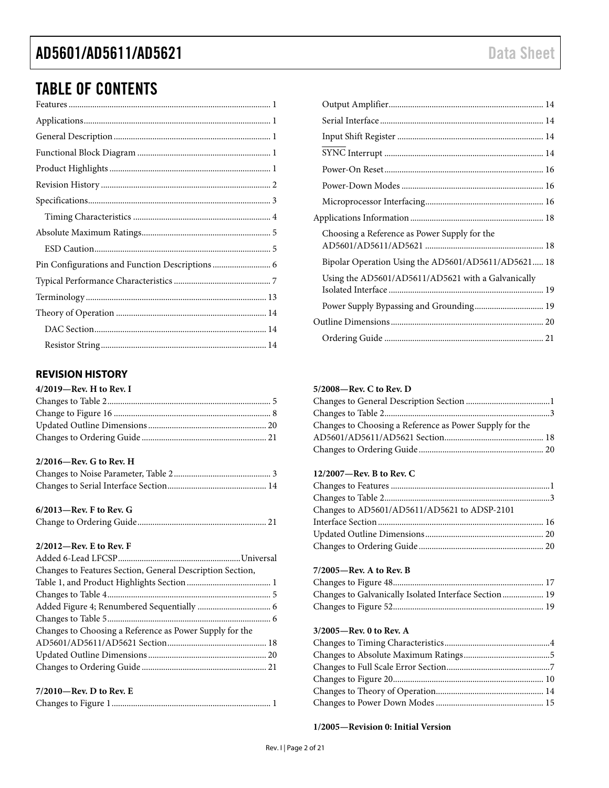### TABLE OF CONTENTS

### <span id="page-1-0"></span>**REVISION HISTORY**

| $4/2019$ –Rev. H to Rev. I |  |
|----------------------------|--|
|                            |  |
|                            |  |
|                            |  |
|                            |  |

#### **2/2016—Rev. G to Rev. H**

| $6/2013$ —Rev. F to Rev. G |  |
|----------------------------|--|
|----------------------------|--|

|--|--|

#### **2/2012—Rev. E to Rev. F**

| Changes to Features Section, General Description Section, |  |
|-----------------------------------------------------------|--|
|                                                           |  |
|                                                           |  |
|                                                           |  |
|                                                           |  |
| Changes to Choosing a Reference as Power Supply for the   |  |
|                                                           |  |
|                                                           |  |
|                                                           |  |
| $7/2010$ —Rev. D to Rev. E                                |  |
|                                                           |  |

| Choosing a Reference as Power Supply for the       |                                                     |
|----------------------------------------------------|-----------------------------------------------------|
|                                                    | Bipolar Operation Using the AD5601/AD5611/AD5621 18 |
| Using the AD5601/AD5611/AD5621 with a Galvanically |                                                     |
|                                                    |                                                     |
|                                                    |                                                     |
|                                                    |                                                     |
|                                                    |                                                     |

#### **5/2008—Rev. C to Rev. D**

| Changes to Choosing a Reference as Power Supply for the |  |
|---------------------------------------------------------|--|
|                                                         |  |
|                                                         |  |

#### **12/2007—Rev. B to Rev. C**

| Changes to AD5601/AD5611/AD5621 to ADSP-2101 |  |
|----------------------------------------------|--|
|                                              |  |
|                                              |  |
|                                              |  |

#### **7/2005—Rev. A to Rev. B**

| Changes to Galvanically Isolated Interface Section 19 |  |
|-------------------------------------------------------|--|
|                                                       |  |

#### **3/2005—Rev. 0 to Rev. A**

**1/2005—Revision 0: Initial Version**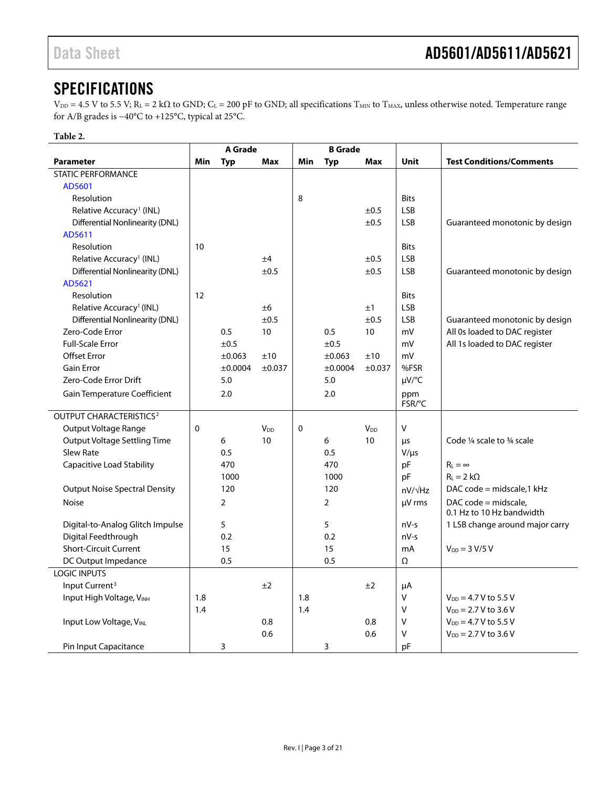### <span id="page-2-0"></span>**SPECIFICATIONS**

 $V_{DD} = 4.5$  V to 5.5 V; R<sub>L</sub> = 2 kΩ to GND; C<sub>L</sub> = 200 pF to GND; all specifications T<sub>MIN</sub> to T<sub>MAX</sub>, unless otherwise noted. Temperature range for A/B grades is −40°C to +125°C, typical at 25°C.

#### **Table 2.**

|                                           | A Grade |                |                 | <b>B</b> Grade |                |                        |                |                                                   |
|-------------------------------------------|---------|----------------|-----------------|----------------|----------------|------------------------|----------------|---------------------------------------------------|
| <b>Parameter</b>                          | Min     | <b>Typ</b>     | <b>Max</b>      | Min            | <b>Typ</b>     | <b>Max</b>             | <b>Unit</b>    | <b>Test Conditions/Comments</b>                   |
| <b>STATIC PERFORMANCE</b>                 |         |                |                 |                |                |                        |                |                                                   |
| AD5601                                    |         |                |                 |                |                |                        |                |                                                   |
| Resolution                                |         |                |                 | 8              |                |                        | <b>Bits</b>    |                                                   |
| Relative Accuracy <sup>1</sup> (INL)      |         |                |                 |                |                | ±0.5                   | <b>LSB</b>     |                                                   |
| <b>Differential Nonlinearity (DNL)</b>    |         |                |                 |                |                | ±0.5                   | <b>LSB</b>     | Guaranteed monotonic by design                    |
| AD5611                                    |         |                |                 |                |                |                        |                |                                                   |
| Resolution                                | 10      |                |                 |                |                |                        | <b>Bits</b>    |                                                   |
| Relative Accuracy <sup>1</sup> (INL)      |         |                | ±4              |                |                | ±0.5                   | <b>LSB</b>     |                                                   |
| <b>Differential Nonlinearity (DNL)</b>    |         |                | $\pm 0.5$       |                |                | $\pm 0.5$              | <b>LSB</b>     | Guaranteed monotonic by design                    |
| AD5621                                    |         |                |                 |                |                |                        |                |                                                   |
| Resolution                                | 12      |                |                 |                |                |                        | <b>Bits</b>    |                                                   |
| Relative Accuracy <sup>1</sup> (INL)      |         |                | $\pm 6$         |                |                | ±1                     | <b>LSB</b>     |                                                   |
| Differential Nonlinearity (DNL)           |         |                | ±0.5            |                |                | ±0.5                   | <b>LSB</b>     | Guaranteed monotonic by design                    |
| Zero-Code Error                           |         | 0.5            | 10              |                | 0.5            | 10                     | mV             | All 0s loaded to DAC register                     |
| <b>Full-Scale Error</b>                   |         | ±0.5           |                 |                | ±0.5           |                        | mV             | All 1s loaded to DAC register                     |
| <b>Offset Error</b>                       |         | ±0.063         | ±10             |                | ±0.063         | ±10                    | mV             |                                                   |
| <b>Gain Error</b>                         |         | ±0.0004        | ±0.037          |                | ±0.0004        | ±0.037                 | %FSR           |                                                   |
| Zero-Code Error Drift                     |         | 5.0            |                 |                | 5.0            |                        | $\mu V$ /°C    |                                                   |
| Gain Temperature Coefficient              |         | 2.0            |                 |                | 2.0            |                        | ppm            |                                                   |
|                                           |         |                |                 |                |                |                        | FSR/°C         |                                                   |
| <b>OUTPUT CHARACTERISTICS<sup>2</sup></b> |         |                |                 |                |                |                        |                |                                                   |
| Output Voltage Range                      | 0       |                | V <sub>DD</sub> | $\mathbf 0$    |                | <b>V</b> <sub>DD</sub> | V              |                                                   |
| <b>Output Voltage Settling Time</b>       |         | 6              | 10              |                | 6              | 10                     | μs             | Code 1/4 scale to 3/4 scale                       |
| <b>Slew Rate</b>                          |         | 0.5            |                 |                | 0.5            |                        | $V/\mu s$      |                                                   |
| <b>Capacitive Load Stability</b>          |         | 470            |                 |                | 470            |                        | pF             | $R_{L} = \infty$                                  |
|                                           |         | 1000           |                 |                | 1000           |                        | pF             | $R_L = 2 k\Omega$                                 |
| <b>Output Noise Spectral Density</b>      |         | 120            |                 |                | 120            |                        | $nV/\sqrt{Hz}$ | DAC code = midscale, $1$ kHz                      |
| <b>Noise</b>                              |         | $\overline{2}$ |                 |                | $\overline{2}$ |                        | µV rms         | DAC code = midscale,<br>0.1 Hz to 10 Hz bandwidth |
| Digital-to-Analog Glitch Impulse          |         | 5              |                 |                | 5              |                        | $nV-s$         | 1 LSB change around major carry                   |
| Digital Feedthrough                       |         | 0.2            |                 |                | 0.2            |                        | $nV-s$         |                                                   |
| <b>Short-Circuit Current</b>              |         | 15             |                 |                | 15             |                        | mA             | $V_{DD} = 3 V/5 V$                                |
| DC Output Impedance                       |         | 0.5            |                 |                | 0.5            |                        | Ω              |                                                   |
| <b>LOGIC INPUTS</b>                       |         |                |                 |                |                |                        |                |                                                   |
| Input Current <sup>3</sup>                |         |                | ±2              |                |                | ±2                     | μA             |                                                   |
| Input High Voltage, VINH                  | 1.8     |                |                 | 1.8            |                |                        | V              | $V_{DD} = 4.7 V$ to 5.5 V                         |
|                                           | 1.4     |                |                 | 1.4            |                |                        | V              | $V_{DD} = 2.7 V$ to 3.6 V                         |
| Input Low Voltage, VINL                   |         |                | 0.8             |                |                | 0.8                    | V              | $V_{DD} = 4.7 V$ to 5.5 V                         |
|                                           |         |                | 0.6             |                |                | 0.6                    | v              | $V_{DD} = 2.7 V$ to 3.6 V                         |
| Pin Input Capacitance                     |         | 3              |                 |                | 3              |                        | pF             |                                                   |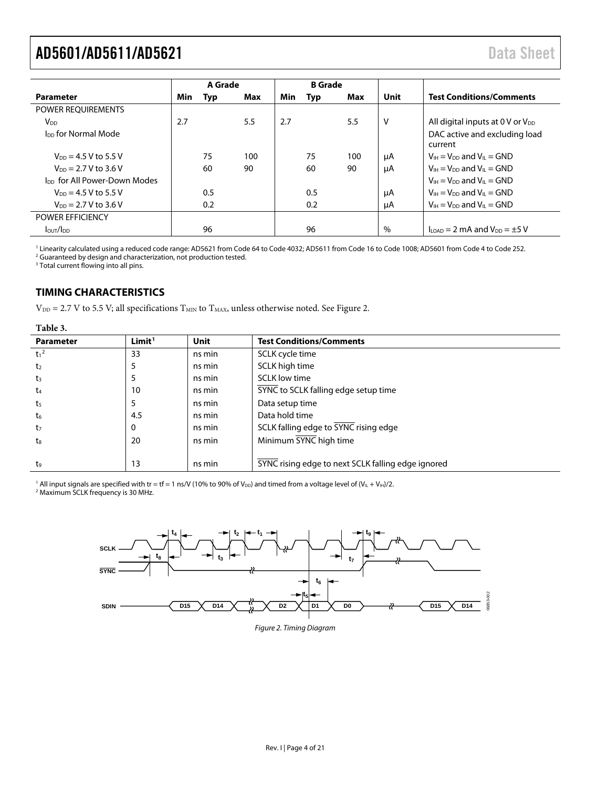<span id="page-3-1"></span>

|                                          | A Grade |     | <b>B</b> Grade |     |     |     |      |                                                                        |  |
|------------------------------------------|---------|-----|----------------|-----|-----|-----|------|------------------------------------------------------------------------|--|
| <b>Parameter</b>                         | Min     | Typ | Max            | Min | Typ | Max | Unit | <b>Test Conditions/Comments</b>                                        |  |
| POWER REQUIREMENTS                       |         |     |                |     |     |     |      |                                                                        |  |
| V <sub>DD</sub>                          | 2.7     |     | 5.5            | 2.7 |     | 5.5 | V    | All digital inputs at $0 \vee$ or $V_{DD}$                             |  |
| I <sub>DD</sub> for Normal Mode          |         |     |                |     |     |     |      | DAC active and excluding load<br>current                               |  |
| $V_{DD} = 4.5 V$ to 5.5 V                |         | 75  | 100            |     | 75  | 100 | μA   | $V_{H} = V_{DD}$ and $V_{H} = GND$                                     |  |
| $V_{DD} = 2.7 V$ to 3.6 V                |         | 60  | 90             |     | 60  | 90  | μA   | $V_{H} = V_{DD}$ and $V_{H} = GND$                                     |  |
| I <sub>DD</sub> for All Power-Down Modes |         |     |                |     |     |     |      | $V_{IH} = V_{DD}$ and $V_{IL} = GND$                                   |  |
| $V_{DD} = 4.5 V$ to 5.5 V                |         | 0.5 |                |     | 0.5 |     | μA   | $V_{1H} = V_{DD}$ and $V_{II} = GND$                                   |  |
| $V_{DD} = 2.7 V$ to 3.6 V                |         | 0.2 |                |     | 0.2 |     | μA   | $V_{IH} = V_{DD}$ and $V_{IL} = GND$                                   |  |
| <b>POWER EFFICIENCY</b>                  |         |     |                |     |     |     |      |                                                                        |  |
| $I_{\text{OUT}}/I_{\text{DD}}$           |         | 96  |                |     | 96  |     | $\%$ | $I_{\text{LOAD}} = 2 \text{ mA}$ and $V_{\text{DD}} = \pm 5 \text{ V}$ |  |

<sup>1</sup> Linearity calculated using a reduced code range: AD5621 from Code 64 to Code 4032; AD5611 from Code 16 to Code 1008; AD5601 from Code 4 to Code 252. <sup>2</sup> Guaranteed by design and characterization, not production tested.

<sup>3</sup> Total current flowing into all pins.

#### <span id="page-3-0"></span>**TIMING CHARACTERISTICS**

 $V_{DD}$  = 2.7 V to 5.5 V; all specifications  $T_{MIN}$  to  $T_{MAX}$ , unless otherwise noted. Se[e Figure 2.](#page-3-2)

**Table 3.** 

| <b>Parameter</b> | Limit <sup>1</sup> | <b>Unit</b> | <b>Test Conditions/Comments</b>                    |
|------------------|--------------------|-------------|----------------------------------------------------|
| $t_1^2$          | 33                 | ns min      | SCLK cycle time                                    |
| t <sub>2</sub>   |                    | ns min      | SCLK high time                                     |
| $t_3$            |                    | ns min      | <b>SCLK low time</b>                               |
| $t_4$            | 10                 | ns min      | SYNC to SCLK falling edge setup time               |
| t5               | 5                  | ns min      | Data setup time                                    |
| $\sf{t}_6$       | 4.5                | ns min      | Data hold time                                     |
| t <sub>7</sub>   | 0                  | ns min      | SCLK falling edge to SYNC rising edge              |
| t <sub>8</sub>   | 20                 | ns min      | Minimum SYNC high time                             |
|                  |                    |             |                                                    |
| to               | 13                 | ns min      | SYNC rising edge to next SCLK falling edge ignored |

<sup>1</sup> All input signals are specified with tr = tf = 1 ns/V (10% to 90% of V<sub>DD</sub>) and timed from a voltage level of (V<sub>IL</sub> + V<sub>IH</sub>)/2. <sup>2</sup> Maximum SCLK frequency is 30 MHz.

<span id="page-3-2"></span>

*Figure 2. Timing Diagram*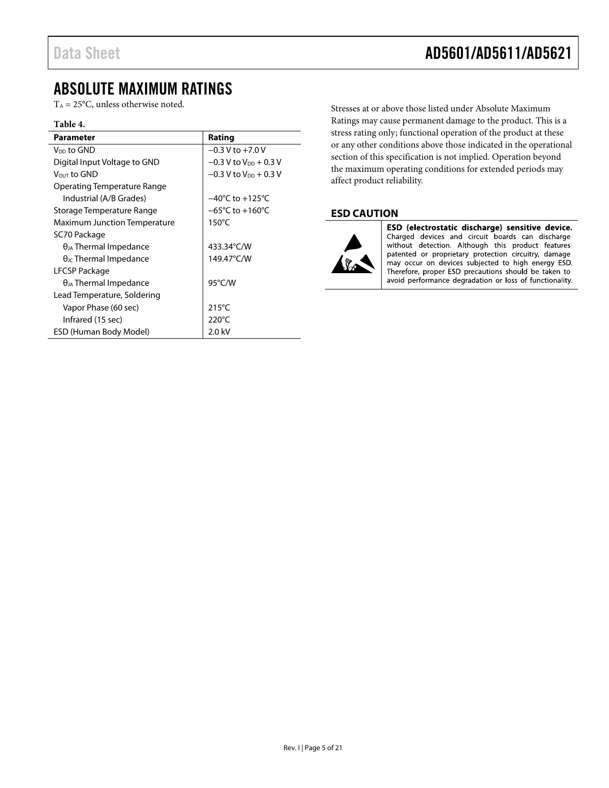### <span id="page-4-0"></span>ABSOLUTE MAXIMUM RATINGS

 $T_A = 25$ °C, unless otherwise noted.

#### **Table 4.**

| Parameter                              | Rating                              |
|----------------------------------------|-------------------------------------|
| V <sub>DD</sub> to GND                 | $-0.3$ V to $+7.0$ V                |
| Digital Input Voltage to GND           | $-0.3$ V to $V_{DD}$ + 0.3 V        |
| Vout to GND                            | $-0.3$ V to V <sub>DD</sub> + 0.3 V |
| Operating Temperature Range            |                                     |
| Industrial (A/B Grades)                | $-40^{\circ}$ C to $+125^{\circ}$ C |
| Storage Temperature Range              | $-65^{\circ}$ C to $+160^{\circ}$ C |
| Maximum Junction Temperature           | $150^{\circ}$ C                     |
| SC70 Package                           |                                     |
| $\theta_{JA}$ Thermal Impedance        | 433.34°C/W                          |
| $\theta_{\text{IC}}$ Thermal Impedance | 149.47°C/W                          |
| LFCSP Package                          |                                     |
| $\theta_{JA}$ Thermal Impedance        | $95^{\circ}$ C/W                    |
| Lead Temperature, Soldering            |                                     |
| Vapor Phase (60 sec)                   | $215^{\circ}$ C                     |
| Infrared (15 sec)                      | $220^{\circ}$ C                     |
| ESD (Human Body Model)                 | 2.0 kV                              |

Stresses at or above those listed under Absolute Maximum Ratings may cause permanent damage to the product. This is a stress rating only; functional operation of the product at these or any other conditions above those indicated in the operational section of this specification is not implied. Operation beyond the maximum operating conditions for extended periods may affect product reliability.

#### <span id="page-4-1"></span>**ESD CAUTION**



ESD (electrostatic discharge) sensitive device. Charged devices and circuit boards can discharge without detection. Although this product features patented or proprietary protection circuitry, damage may occur on devices subjected to high energy ESD. Therefore, proper ESD precautions should be taken to avoid performance degradation or loss of functionality.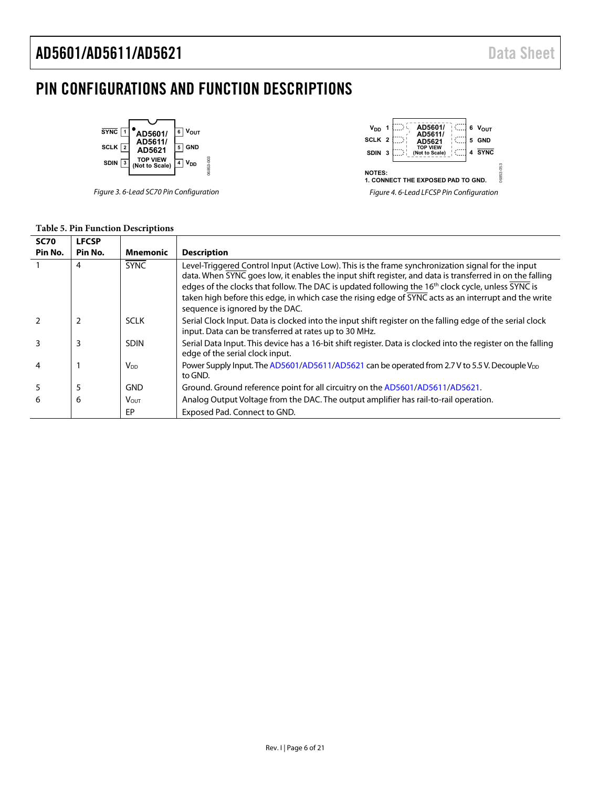# <span id="page-5-0"></span>PIN CONFIGURATIONS AND FUNCTION DESCRIPTIONS



Figure 3. 6-Lead SC70 Pin Configuration



|  |  | <b>Table 5. Pin Function Descriptions</b> |  |  |
|--|--|-------------------------------------------|--|--|
|--|--|-------------------------------------------|--|--|

| <b>SC70</b> | <b>LFCSP</b>   |                 |                                                                                                                                                                                                                                                                                                                                                                                                                                                                              |
|-------------|----------------|-----------------|------------------------------------------------------------------------------------------------------------------------------------------------------------------------------------------------------------------------------------------------------------------------------------------------------------------------------------------------------------------------------------------------------------------------------------------------------------------------------|
| Pin No.     | Pin No.        | <b>Mnemonic</b> | <b>Description</b>                                                                                                                                                                                                                                                                                                                                                                                                                                                           |
|             | 4              | <b>SYNC</b>     | Level-Triggered Control Input (Active Low). This is the frame synchronization signal for the input<br>data. When SYNC goes low, it enables the input shift register, and data is transferred in on the falling<br>edges of the clocks that follow. The DAC is updated following the 16 <sup>th</sup> clock cycle, unless SYNC is<br>taken high before this edge, in which case the rising edge of SYNC acts as an interrupt and the write<br>sequence is ignored by the DAC. |
|             | $\overline{2}$ | <b>SCLK</b>     | Serial Clock Input. Data is clocked into the input shift register on the falling edge of the serial clock<br>input. Data can be transferred at rates up to 30 MHz.                                                                                                                                                                                                                                                                                                           |
|             | 3              | <b>SDIN</b>     | Serial Data Input. This device has a 16-bit shift register. Data is clocked into the register on the falling<br>edge of the serial clock input.                                                                                                                                                                                                                                                                                                                              |
| 4           |                | V <sub>DD</sub> | Power Supply Input. The AD5601/AD5611/AD5621 can be operated from 2.7 V to 5.5 V. Decouple V <sub>DD</sub><br>to GND.                                                                                                                                                                                                                                                                                                                                                        |
| 5           | 5              | <b>GND</b>      | Ground. Ground reference point for all circuitry on the AD5601/AD5611/AD5621.                                                                                                                                                                                                                                                                                                                                                                                                |
| 6           | 6              | Vout            | Analog Output Voltage from the DAC. The output amplifier has rail-to-rail operation.                                                                                                                                                                                                                                                                                                                                                                                         |
|             |                | EP              | Exposed Pad. Connect to GND.                                                                                                                                                                                                                                                                                                                                                                                                                                                 |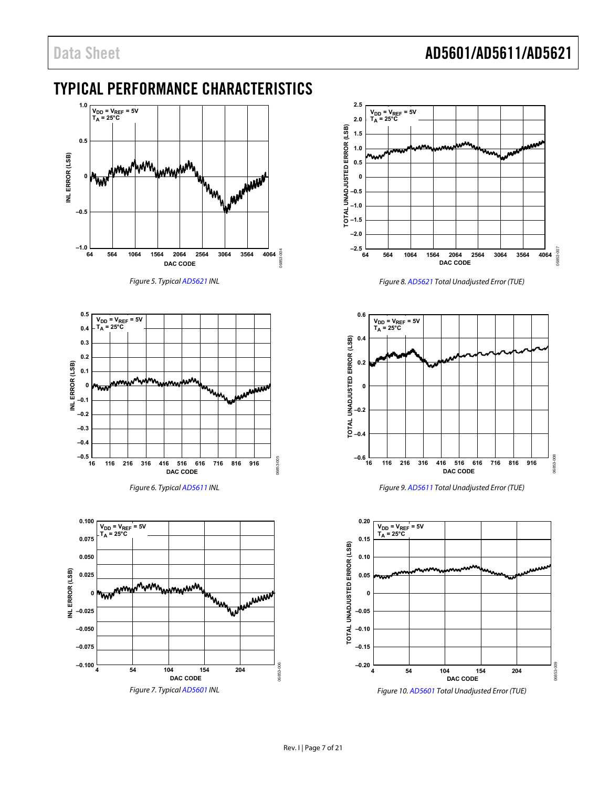### <span id="page-6-0"></span>TYPICAL PERFORMANCE CHARACTERISTICS



Figure 5. Typica[l AD5621 I](http://www.analog.com/AD5621?doc=AD5601_5611_5621.pdf)NL

<span id="page-6-1"></span>



<span id="page-6-2"></span>



Figure 8[. AD5621 T](http://www.analog.com/AD5621?doc=AD5601_5611_5621.pdf)otal Unadjusted Error (TUE)

<span id="page-6-3"></span>

Figure 9[. AD5611 T](http://www.analog.com/AD5611?doc=AD5601_5611_5621.pdf)otal Unadjusted Error (TUE)



<span id="page-6-4"></span>Figure 10[. AD5601 T](http://www.analog.com/AD5601?doc=AD5601_5611_5621.pdf)otal Unadjusted Error (TUE)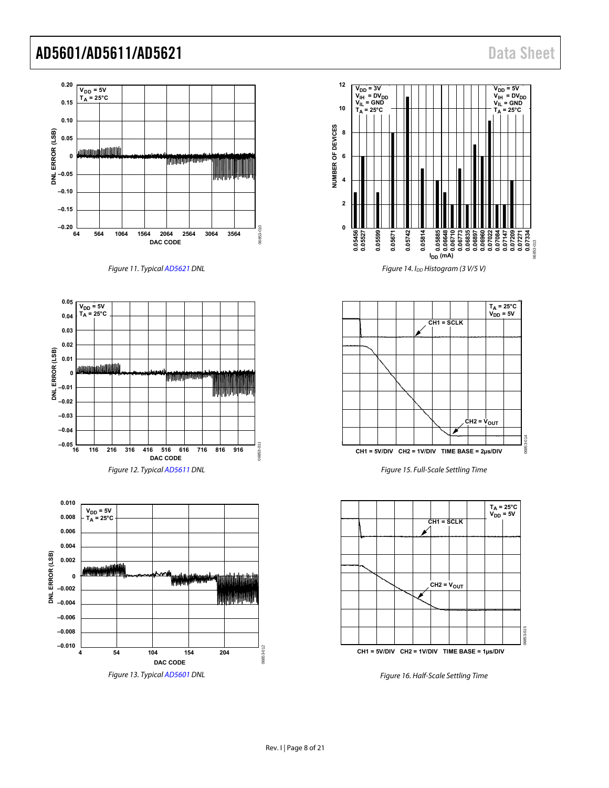

Figure 11. Typica[l AD5621 D](http://www.analog.com/AD5621?doc=AD5601_5611_5621.pdf)NL

<span id="page-7-0"></span>



<span id="page-7-1"></span>Figure 13. Typica[l AD5601 D](http://www.analog.com/AD5601?doc=AD5601_5611_5621.pdf)NL



Figure 14. I<sub>DD</sub> Histogram (3 V/5 V)



Figure 15. Full-Scale Settling Time



Figure 16. Half-Scale Settling Time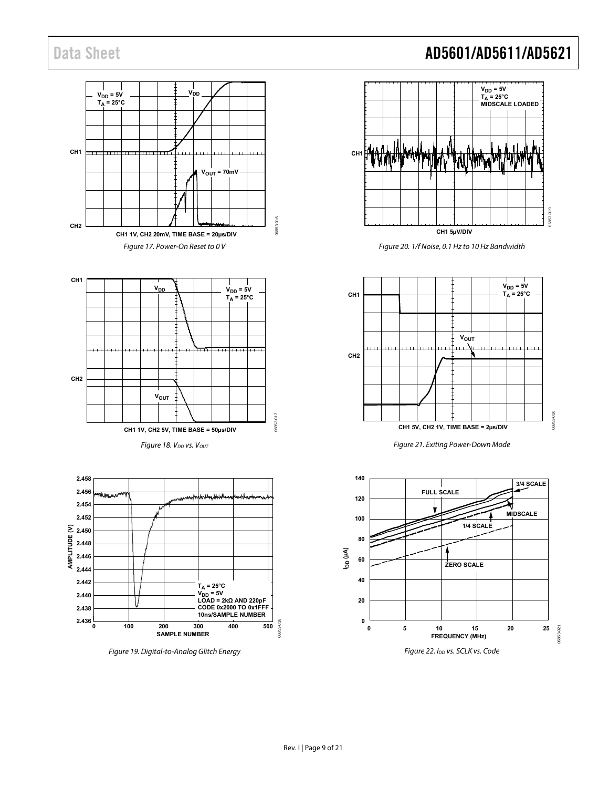



Figure 18. V<sub>DD</sub> vs. V<sub>OUT</sub>



<span id="page-8-0"></span>



Figure 20. 1/f Noise, 0.1 Hz to 10 Hz Bandwidth



Figure 21. Exiting Power-Down Mode

<span id="page-8-1"></span>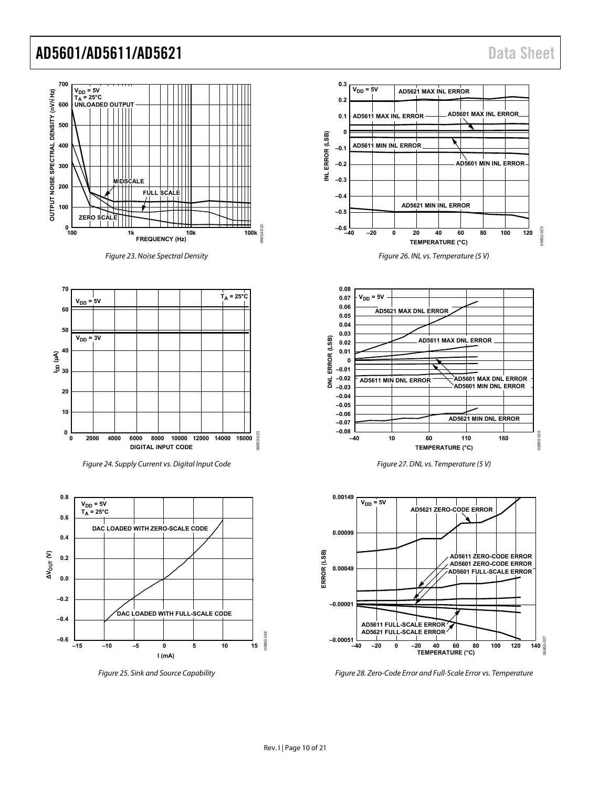

<span id="page-9-1"></span><span id="page-9-0"></span>Figure 28. Zero-Code Error and Full-Scale Error vs. Temperature

06853-027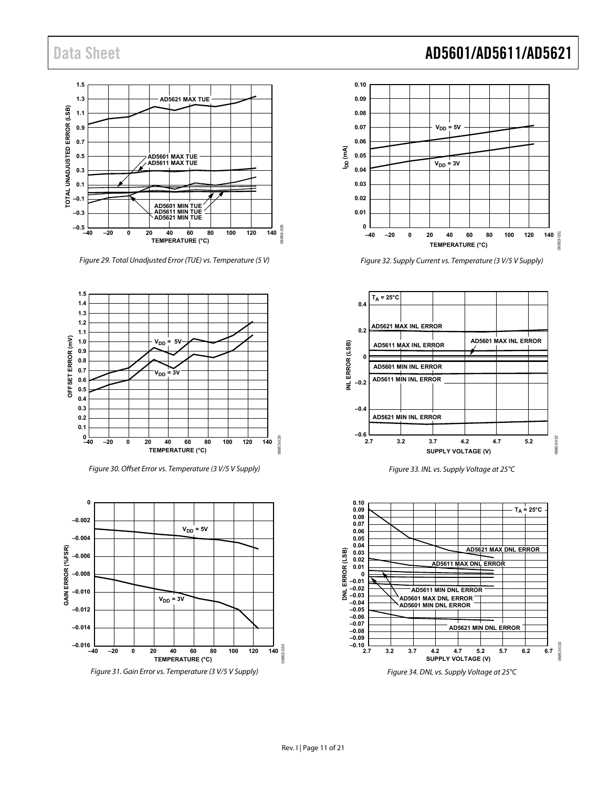

Figure 29. Total Unadjusted Error (TUE) vs. Temperature (5 V)



Figure 30. Offset Error vs. Temperature (3 V/5 V Supply)



Figure 31. Gain Error vs. Temperature (3 V/5 V Supply)



Figure 32. Supply Current vs. Temperature (3 V/5 V Supply)



Figure 33. INL vs. Supply Voltage at 25°C



Figure 34. DNL vs. Supply Voltage at 25°C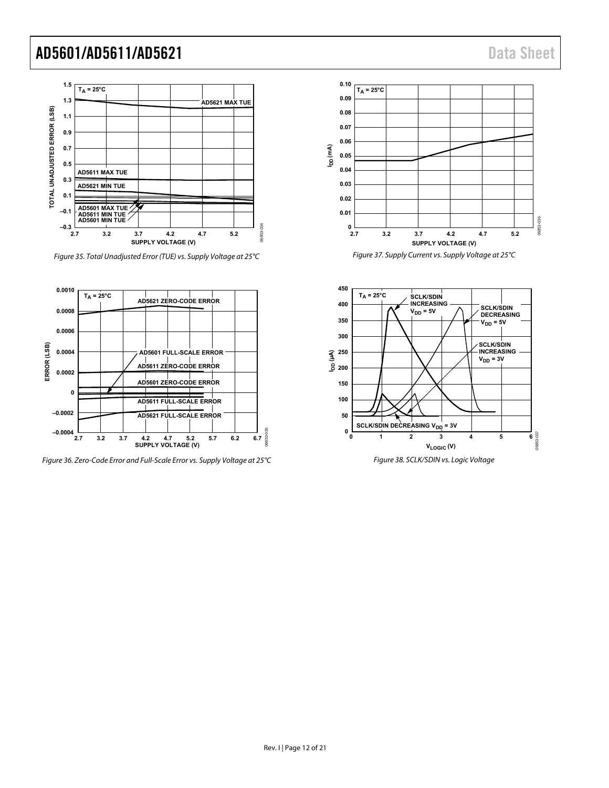

Figure 35. Total Unadjusted Error (TUE) vs. Supply Voltage at 25°C



Figure 36. Zero-Code Error and Full-Scale Error vs. Supply Voltage at 25°C



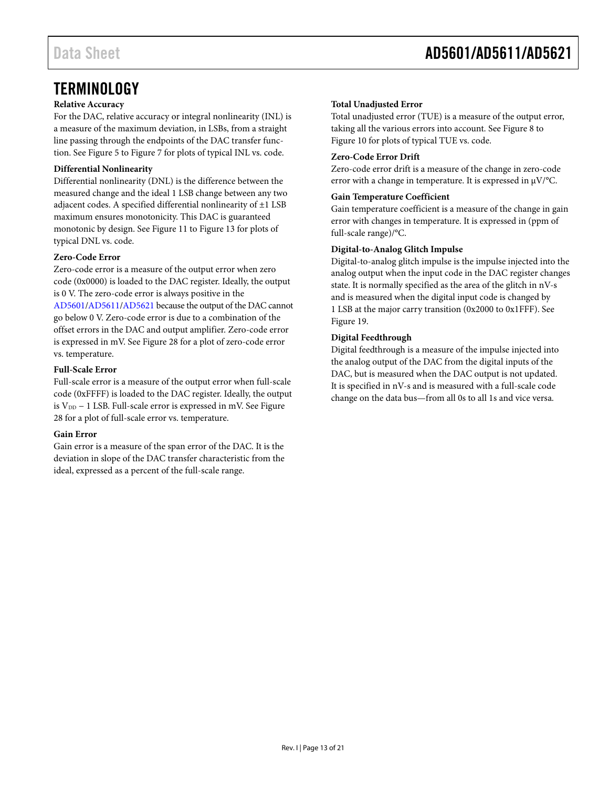### <span id="page-12-0"></span>**TERMINOLOGY**

#### **Relative Accuracy**

For the DAC, relative accuracy or integral nonlinearity (INL) is a measure of the maximum deviation, in LSBs, from a straight line passing through the endpoints of the DAC transfer function. Se[e Figure 5](#page-6-1) t[o Figure 7](#page-6-2) for plots of typical INL vs. code.

#### **Differential Nonlinearity**

Differential nonlinearity (DNL) is the difference between the measured change and the ideal 1 LSB change between any two adjacent codes. A specified differential nonlinearity of ±1 LSB maximum ensures monotonicity. This DAC is guaranteed monotonic by design. See [Figure 11](#page-7-0) t[o Figure 13](#page-7-1) for plots of typical DNL vs. code.

#### **Zero-Code Error**

Zero-code error is a measure of the output error when zero code (0x0000) is loaded to the DAC register. Ideally, the output is 0 V. The zero-code error is always positive in the [AD5601](http://www.analog.com/AD5601?doc=AD5601_5611_5621.pdf)[/AD5611](http://www.analog.com/AD5611?doc=AD5601_5611_5621.pdf)[/AD5621](http://www.analog.com/AD5621?doc=AD5601_5611_5621.pdf) because the output of the DAC cannot go below 0 V. Zero-code error is due to a combination of the offset errors in the DAC and output amplifier. Zero-code error is expressed in mV. Se[e Figure 28](#page-9-0) for a plot of zero-code error vs. temperature.

#### **Full-Scale Error**

Full-scale error is a measure of the output error when full-scale code (0xFFFF) is loaded to the DAC register. Ideally, the output is  $V_{DD}$  – 1 LSB. Full-scale error is expressed in mV. See Figure [28](#page-9-0) for a plot of full-scale error vs. temperature.

#### **Gain Error**

Gain error is a measure of the span error of the DAC. It is the deviation in slope of the DAC transfer characteristic from the ideal, expressed as a percent of the full-scale range.

### **Total Unadjusted Error**

Total unadjusted error (TUE) is a measure of the output error, taking all the various errors into account. See [Figure 8](#page-6-3) to [Figure](#page-6-4) 10 for plots of typical TUE vs. code.

### **Zero-Code Error Drift**

Zero-code error drift is a measure of the change in zero-code error with a change in temperature. It is expressed in  $\mu$ V/°C.

#### **Gain Temperature Coefficient**

Gain temperature coefficient is a measure of the change in gain error with changes in temperature. It is expressed in (ppm of full-scale range)/°C.

### **Digital-to-Analog Glitch Impulse**

Digital-to-analog glitch impulse is the impulse injected into the analog output when the input code in the DAC register changes state. It is normally specified as the area of the glitch in nV-s and is measured when the digital input code is changed by 1 LSB at the major carry transition (0x2000 to 0x1FFF). See [Figure 19.](#page-8-0) 

#### **Digital Feedthrough**

Digital feedthrough is a measure of the impulse injected into the analog output of the DAC from the digital inputs of the DAC, but is measured when the DAC output is not updated. It is specified in nV-s and is measured with a full-scale code change on the data bus—from all 0s to all 1s and vice versa.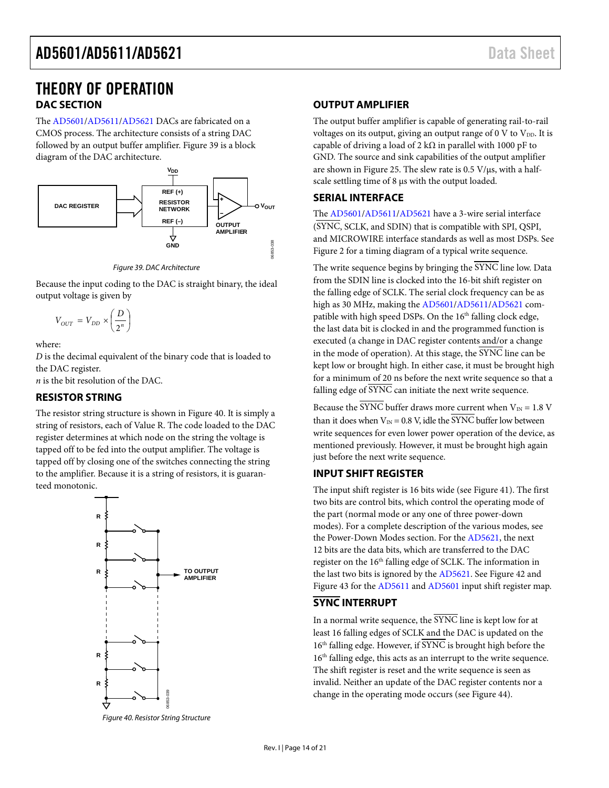### <span id="page-13-0"></span>THEORY OF OPERATION **DAC SECTION**

<span id="page-13-1"></span>The [AD5601/](http://www.analog.com/AD5601?doc=AD5601_5611_5621.pdf)[AD5611/](http://www.analog.com/AD5611?doc=AD5601_5611_5621.pdf)[AD5621](http://www.analog.com/AD5621?doc=AD5601_5611_5621.pdf) DACs are fabricated on a CMOS process. The architecture consists of a string DAC followed by an output buffer amplifier. [Figure 39](#page-13-6) is a block diagram of the DAC architecture.



*Figure 39. DAC Architecture*

<span id="page-13-6"></span>Because the input coding to the DAC is straight binary, the ideal output voltage is given by

 $V_{OUT} = V_{DD} \times \left(\frac{D}{2^n}\right)$ 2

where:

*D* is the decimal equivalent of the binary code that is loaded to the DAC register.

*n* is the bit resolution of the DAC.

#### <span id="page-13-2"></span>**RESISTOR STRING**

The resistor string structure is shown in [Figure 40.](#page-13-7) It is simply a string of resistors, each of Value R. The code loaded to the DAC register determines at which node on the string the voltage is tapped off to be fed into the output amplifier. The voltage is tapped off by closing one of the switches connecting the string to the amplifier. Because it is a string of resistors, it is guaranteed monotonic.



<span id="page-13-7"></span>*Figure 40. Resistor String Structure*

#### <span id="page-13-3"></span>**OUTPUT AMPLIFIER**

The output buffer amplifier is capable of generating rail-to-rail voltages on its output, giving an output range of  $0 \text{ V}$  to  $\text{V}_{\text{DD}}$ . It is capable of driving a load of 2 k $\Omega$  in parallel with 1000 pF to GND. The source and sink capabilities of the output amplifier are shown i[n Figure 25.](#page-9-1) The slew rate is  $0.5$  V/ $\mu$ s, with a halfscale settling time of 8  $\mu$ s with the output loaded.

#### <span id="page-13-4"></span>**SERIAL INTERFACE**

The [AD5601/](http://www.analog.com/AD5601?doc=AD5601_5611_5621.pdf)[AD5611/](http://www.analog.com/AD5611?doc=AD5601_5611_5621.pdf)[AD5621](http://www.analog.com/AD5621?doc=AD5601_5611_5621.pdf) have a 3-wire serial interface (SYNC, SCLK, and SDIN) that is compatible with SPI, QSPI, and MICROWIRE interface standards as well as most DSPs. See [Figure 2](#page-3-2) for a timing diagram of a typical write sequence.

The write sequence begins by bringing the SYNC line low. Data from the SDIN line is clocked into the 16-bit shift register on the falling edge of SCLK. The serial clock frequency can be as high as 30 MHz, making th[e AD5601/](http://www.analog.com/AD5601?doc=AD5601_5611_5621.pdf)[AD5611](http://www.analog.com/AD5611?doc=AD5601_5611_5621.pdf)[/AD5621](http://www.analog.com/AD5621?doc=AD5601_5611_5621.pdf) compatible with high speed DSPs. On the 16<sup>th</sup> falling clock edge, the last data bit is clocked in and the programmed function is executed (a change in DAC register contents and/or a change in the mode of operation). At this stage, the SYNC line can be kept low or brought high. In either case, it must be brought high for a minimum of 20 ns before the next write sequence so that a falling edge of  $\overline{\text{SYNC}}$  can initiate the next write sequence.

Because the  $\overline{\text{SYNC}}$  buffer draws more current when  $V_{\text{IN}} = 1.8 \text{ V}$ than it does when  $V_{IN} = 0.8$  V, idle the SYNC buffer low between write sequences for even lower power operation of the device, as mentioned previously. However, it must be brought high again just before the next write sequence.

#### <span id="page-13-5"></span>**INPUT SHIFT REGISTER**

The input shift register is 16 bits wide (se[e Figure 41\)](#page-14-0). The first two bits are control bits, which control the operating mode of the part (normal mode or any one of three power-down modes). For a complete description of the various modes, see the [Power-Down Modes](#page-15-1) section. For th[e AD5621,](http://www.analog.com/AD5621?doc=AD5601_5611_5621.pdf) the next 12 bits are the data bits, which are transferred to the DAC register on the 16<sup>th</sup> falling edge of SCLK. The information in the last two bits is ignored by th[e AD5621.](http://www.analog.com/AD5621?doc=AD5601_5611_5621.pdf) Se[e Figure 42](#page-14-1) and [Figure 43](#page-14-2) for the [AD5611](http://www.analog.com/AD5611?doc=AD5601_5611_5621.pdf) an[d AD5601](http://www.analog.com/AD5601?doc=AD5601_5611_5621.pdf) input shift register map.

#### **SYNC INTERRUPT**

In a normal write sequence, the SYNC line is kept low for at least 16 falling edges of SCLK and the DAC is updated on the  $16<sup>th</sup>$  falling edge. However, if  $\overline{\text{SYNC}}$  is brought high before the 16<sup>th</sup> falling edge, this acts as an interrupt to the write sequence. The shift register is reset and the write sequence is seen as invalid. Neither an update of the DAC register contents nor a change in the operating mode occurs (se[e Figure 44\)](#page-14-3).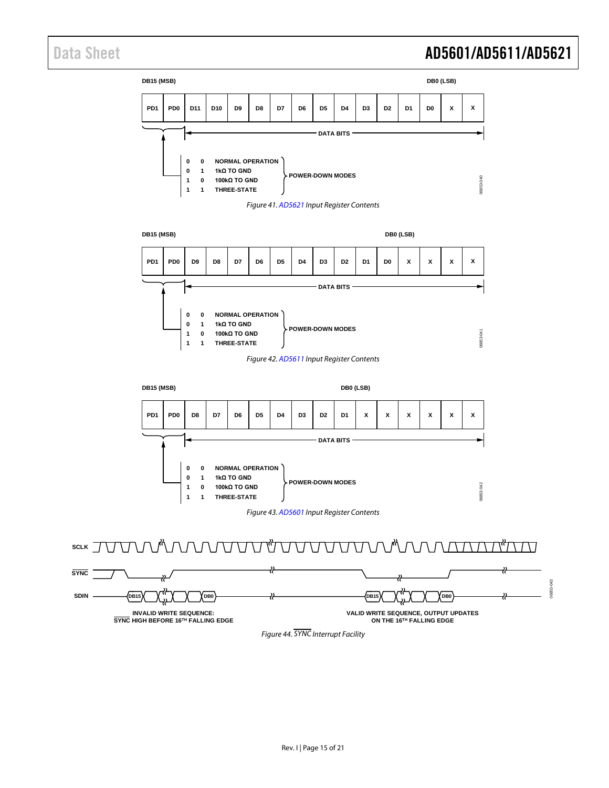06853-043

06853-043

<span id="page-14-0"></span>

**INVALID WRITE SEQUENCE: SYNC HIGH BEFORE 16TH FALLING EDGE**

**SYNC**

<span id="page-14-3"></span>**SDIN**

<span id="page-14-2"></span><span id="page-14-1"></span>**SCLK**

*Figure 44. SYNC Interrupt Facility*

**VALID WRITE SEQUENCE, OUTPUT UPDATES ON THE 16TH FALLING EDGE**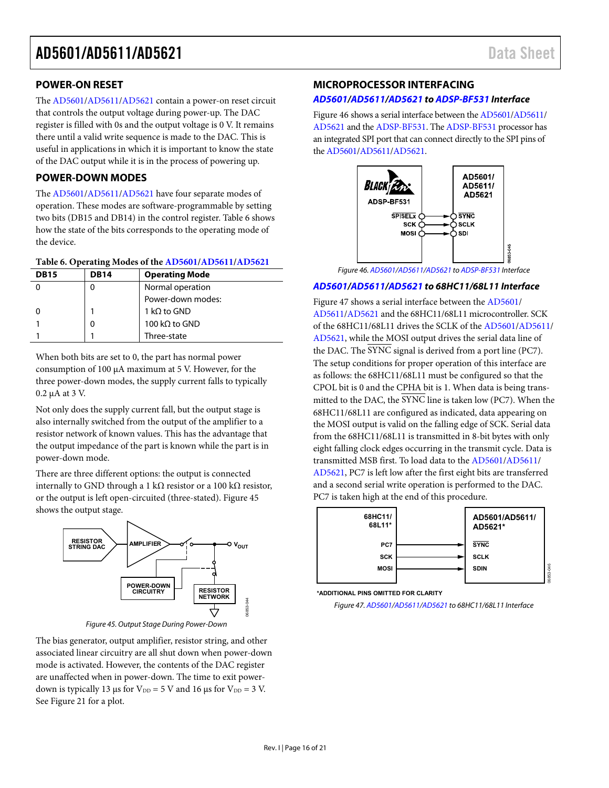#### <span id="page-15-0"></span>**POWER-ON RESET**

The [AD5601/](http://www.analog.com/AD5601?doc=AD5601_5611_5621.pdf)[AD5611/](http://www.analog.com/AD5611?doc=AD5601_5611_5621.pdf)[AD5621 c](http://www.analog.com/AD5621?doc=AD5601_5611_5621.pdf)ontain a power-on reset circuit that controls the output voltage during power-up. The DAC register is filled with 0s and the output voltage is 0 V. It remains there until a valid write sequence is made to the DAC. This is useful in applications in which it is important to know the state of the DAC output while it is in the process of powering up.

#### <span id="page-15-1"></span>**POWER-DOWN MODES**

The [AD5601/](http://www.analog.com/AD5601?doc=AD5601_5611_5621.pdf)[AD5611/](http://www.analog.com/AD5611?doc=AD5601_5611_5621.pdf)[AD5621 h](http://www.analog.com/AD5621?doc=AD5601_5611_5621.pdf)ave four separate modes of operation. These modes are software-programmable by setting two bits (DB15 and DB14) in the control register. [Table 6](#page-15-3) shows how the state of the bits corresponds to the operating mode of the device.

#### <span id="page-15-3"></span>**Table 6. Operating Modes of the [AD5601/](http://www.analog.com/AD5601?doc=AD5601_5611_5621.pdf)[AD5611/](http://www.analog.com/AD5611?doc=AD5601_5611_5621.pdf)[AD5621](http://www.analog.com/AD5621?doc=AD5601_5611_5621.pdf)**

| <b>DB15</b> | <b>DB14</b> | <b>Operating Mode</b> |
|-------------|-------------|-----------------------|
|             |             | Normal operation      |
|             |             | Power-down modes:     |
|             |             | 1 kQ to GND           |
|             |             | 100 kΩ to GND         |
|             |             | Three-state           |

When both bits are set to 0, the part has normal power consumption of 100 μA maximum at 5 V. However, for the three power-down modes, the supply current falls to typically 0.2 μA at 3 V.

Not only does the supply current fall, but the output stage is also internally switched from the output of the amplifier to a resistor network of known values. This has the advantage that the output impedance of the part is known while the part is in power-down mode.

There are three different options: the output is connected internally to GND through a 1 kΩ resistor or a 100 kΩ resistor, or the output is left open-circuited (three-stated)[. Figure 45](#page-15-4)  shows the output stage.



Figure 45. Output Stage During Power-Down

<span id="page-15-4"></span>The bias generator, output amplifier, resistor string, and other associated linear circuitry are all shut down when power-down mode is activated. However, the contents of the DAC register are unaffected when in power-down. The time to exit powerdown is typically 13 μs for  $V_{DD} = 5$  V and 16 μs for  $V_{DD} = 3$  V. See [Figure 21 f](#page-8-1)or a plot.

#### <span id="page-15-2"></span>**MICROPROCESSOR INTERFACING**

#### **[AD5601/](http://www.analog.com/AD5601?doc=AD5601_5611_5621.pdf)[AD5611/](http://www.analog.com/AD5611?doc=AD5601_5611_5621.pdf)[AD5621 t](http://www.analog.com/AD5621?doc=AD5601_5611_5621.pdf)o [ADSP-BF531](http://www.analog.com/ADSP-BF531?doc=AD5601_5611_5621.pdf) Interface**

[Figure 46 s](#page-15-5)hows a serial interface between th[e AD5601](http://www.analog.com/AD5601?doc=AD5601_5611_5621.pdf)[/AD5611/](http://www.analog.com/AD5611?doc=AD5601_5611_5621.pdf) [AD5621 a](http://www.analog.com/AD5621?doc=AD5601_5611_5621.pdf)nd the [ADSP-BF531.](http://www.analog.com/ADSP-BF531?doc=AD5601_5611_5621.pdf) The [ADSP-BF531 p](http://www.analog.com/ADSP-BF531?doc=AD5601_5611_5621.pdf)rocessor has an integrated SPI port that can connect directly to the SPI pins of the [AD5601/](http://www.analog.com/AD5601?doc=AD5601_5611_5621.pdf)[AD5611/](http://www.analog.com/AD5611?doc=AD5601_5611_5621.pdf)[AD5621.](http://www.analog.com/AD5621?doc=AD5601_5611_5621.pdf) 



Figure 46[. AD5601](http://www.analog.com/AD5601?doc=AD5601_5611_5621.pdf)[/AD5611](http://www.analog.com/AD5611?doc=AD5601_5611_5621.pdf)[/AD5621](http://www.analog.com/AD5621?doc=AD5601_5611_5621.pdf) to [ADSP-BF531](http://www.analog.com/ADSP-BF531?doc=AD5601_5611_5621.pdf) Interface

#### <span id="page-15-5"></span>**AD5601/AD5611/AD5621 to 68HC11/68L11 Interface**

[Figure 47](#page-15-6) shows a serial interface between th[e AD5601/](http://www.analog.com/AD5601?doc=AD5601_5611_5621.pdf) [AD5611/](http://www.analog.com/AD5611?doc=AD5601_5611_5621.pdf)[AD5621](http://www.analog.com/AD5621?doc=AD5601_5611_5621.pdf) and the 68HC11/68L11 microcontroller. SCK of the 68HC11/68L11 drives the SCLK of the [AD5601/](http://www.analog.com/AD5601?doc=AD5601_5611_5621.pdf)[AD5611/](http://www.analog.com/AD5611?doc=AD5601_5611_5621.pdf)  [AD5621,](http://www.analog.com/AD5621?doc=AD5601_5611_5621.pdf) while the MOSI output drives the serial data line of the DAC. The SYNC signal is derived from a port line (PC7). The setup conditions for proper operation of this interface are as follows: the 68HC11/68L11 must be configured so that the CPOL bit is 0 and the CPHA bit is 1. When data is being transmitted to the DAC, the SYNC line is taken low (PC7). When the 68HC11/68L11 are configured as indicated, data appearing on the MOSI output is valid on the falling edge of SCK. Serial data from the 68HC11/68L11 is transmitted in 8-bit bytes with only eight falling clock edges occurring in the transmit cycle. Data is transmitted MSB first. To load data to the [AD5601/](http://www.analog.com/AD5601?doc=AD5601_5611_5621.pdf)[AD5611/](http://www.analog.com/AD5611?doc=AD5601_5611_5621.pdf) [AD5621,](http://www.analog.com/AD5621?doc=AD5601_5611_5621.pdf) PC7 is left low after the first eight bits are transferred and a second serial write operation is performed to the DAC. PC7 is taken high at the end of this procedure.



**\*ADDITIONAL PINS OMITTED FOR CLARITY**

<span id="page-15-6"></span>Figure 47. AD5601/AD5611/AD5621 to 68HC11/68L11 Interface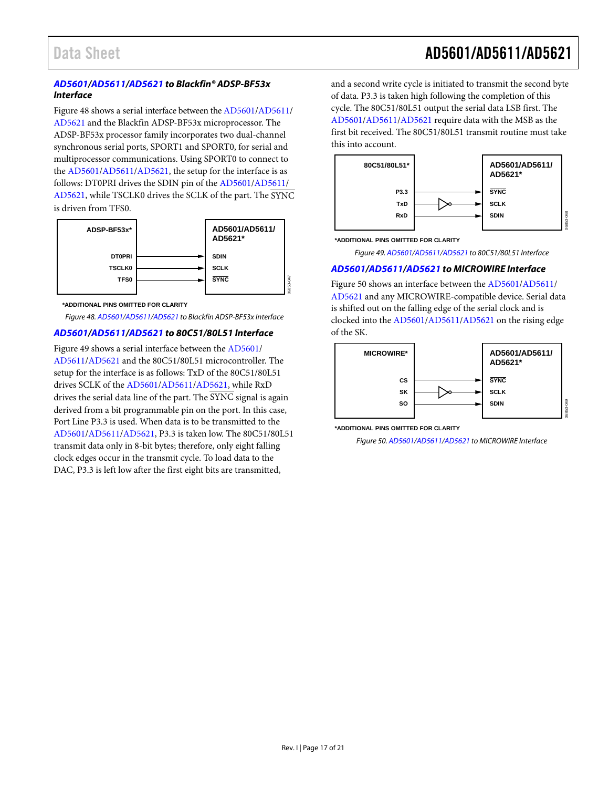#### *[AD5601/](http://www.analog.com/AD5601?doc=AD5601_5611_5621.pdf)[AD5611/](http://www.analog.com/AD5611?doc=AD5601_5611_5621.pdf)[AD5621](http://www.analog.com/AD5621?doc=AD5601_5611_5621.pdf) to Blackfin® ADSP-BF53x Interface*

[Figure 48](#page-16-0) shows a serial interface between th[e AD5601/](http://www.analog.com/AD5601?doc=AD5601_5611_5621.pdf)[AD5611/](http://www.analog.com/AD5611?doc=AD5601_5611_5621.pdf) [AD5621](http://www.analog.com/AD5621?doc=AD5601_5611_5621.pdf) and the Blackfin ADSP-BF53x microprocessor. The ADSP-BF53x processor family incorporates two dual-channel synchronous serial ports, SPORT1 and SPORT0, for serial and multiprocessor communications. Using SPORT0 to connect to the [AD5601](http://www.analog.com/AD5601?doc=AD5601_5611_5621.pdf)[/AD5611/](http://www.analog.com/AD5611?doc=AD5601_5611_5621.pdf)[AD5621,](http://www.analog.com/AD5621?doc=AD5601_5611_5621.pdf) the setup for the interface is as follows: DT0PRI drives the SDIN pin of the [AD5601/](http://www.analog.com/AD5601?doc=AD5601_5611_5621.pdf)[AD5611/](http://www.analog.com/AD5611?doc=AD5601_5611_5621.pdf) [AD5621,](http://www.analog.com/AD5621?doc=AD5601_5611_5621.pdf) while TSCLK0 drives the SCLK of the part. The SYNC is driven from TFS0.



**\*ADDITIONAL PINS OMITTED FOR CLARITY**

<span id="page-16-0"></span>*Figure 48[. AD5601/](http://www.analog.com/AD5601?doc=AD5601_5611_5621.pdf)[AD5611](http://www.analog.com/AD5611?doc=AD5601_5611_5621.pdf)[/AD5621](http://www.analog.com/AD5621?doc=AD5601_5611_5621.pdf) to Blackfin ADSP-BF53x Interface*

#### *[AD5601/](http://www.analog.com/AD5601?doc=AD5601_5611_5621.pdf)[AD5611/](http://www.analog.com/AD5611?doc=AD5601_5611_5621.pdf)[AD5621](http://www.analog.com/AD5621?doc=AD5601_5611_5621.pdf) to 80C51/80L51 Interface*

[Figure 49](#page-16-1) shows a serial interface between the [AD5601/](http://www.analog.com/AD5601?doc=AD5601_5611_5621.pdf) [AD5611/](http://www.analog.com/AD5611?doc=AD5601_5611_5621.pdf)[AD5621](http://www.analog.com/AD5621?doc=AD5601_5611_5621.pdf) and the 80C51/80L51 microcontroller. The setup for the interface is as follows: TxD of the 80C51/80L51 drives SCLK of th[e AD5601](http://www.analog.com/AD5601?doc=AD5601_5611_5621.pdf)[/AD5611](http://www.analog.com/AD5611?doc=AD5601_5611_5621.pdf)[/AD5621,](http://www.analog.com/AD5621?doc=AD5601_5611_5621.pdf) while RxD drives the serial data line of the part. The SYNC signal is again derived from a bit programmable pin on the port. In this case, Port Line P3.3 is used. When data is to be transmitted to the [AD5601/](http://www.analog.com/AD5601?doc=AD5601_5611_5621.pdf)[AD5611/](http://www.analog.com/AD5611?doc=AD5601_5611_5621.pdf)[AD5621,](http://www.analog.com/AD5621?doc=AD5601_5611_5621.pdf) P3.3 is taken low. The 80C51/80L51 transmit data only in 8-bit bytes; therefore, only eight falling clock edges occur in the transmit cycle. To load data to the DAC, P3.3 is left low after the first eight bits are transmitted,

and a second write cycle is initiated to transmit the second byte of data. P3.3 is taken high following the completion of this cycle. The 80C51/80L51 output the serial data LSB first. The [AD5601/](http://www.analog.com/AD5601?doc=AD5601_5611_5621.pdf)[AD5611/](http://www.analog.com/AD5611?doc=AD5601_5611_5621.pdf)[AD5621](http://www.analog.com/AD5621?doc=AD5601_5611_5621.pdf) require data with the MSB as the first bit received. The 80C51/80L51 transmit routine must take this into account.



<span id="page-16-1"></span>**\*ADDITIONAL PINS OMITTED FOR CLARITY**

*Figure 49[. AD5601](http://www.analog.com/AD5601?doc=AD5601_5611_5621.pdf)[/AD5611](http://www.analog.com/AD5611?doc=AD5601_5611_5621.pdf)[/AD5621](http://www.analog.com/AD5621?doc=AD5601_5611_5621.pdf) to 80C51/80L51 Interface*

#### *[AD5601/](http://www.analog.com/AD5601?doc=AD5601_5611_5621.pdf)[AD5611/](http://www.analog.com/AD5611?doc=AD5601_5611_5621.pdf)[AD5621](http://www.analog.com/AD5621?doc=AD5601_5611_5621.pdf) to MICROWIRE Interface*

[Figure 50](#page-16-2) shows an interface between th[e AD5601/](http://www.analog.com/AD5601?doc=AD5601_5611_5621.pdf)[AD5611/](http://www.analog.com/AD5611?doc=AD5601_5611_5621.pdf) [AD5621](http://www.analog.com/AD5621?doc=AD5601_5611_5621.pdf) and any MICROWIRE-compatible device. Serial data is shifted out on the falling edge of the serial clock and is clocked into th[e AD5601/](http://www.analog.com/AD5601?doc=AD5601_5611_5621.pdf)[AD5611/](http://www.analog.com/AD5611?doc=AD5601_5611_5621.pdf)[AD5621](http://www.analog.com/AD5621?doc=AD5601_5611_5621.pdf) on the rising edge of the SK.



<span id="page-16-2"></span>**<sup>\*</sup>ADDITIONAL PINS OMITTED FOR CLARITY**

*Figure 50[. AD5601/](http://www.analog.com/AD5601?doc=AD5601_5611_5621.pdf)[AD5611/](http://www.analog.com/AD5611?doc=AD5601_5611_5621.pdf)[AD5621](http://www.analog.com/AD5621?doc=AD5601_5611_5621.pdf) to MICROWIRE Interface*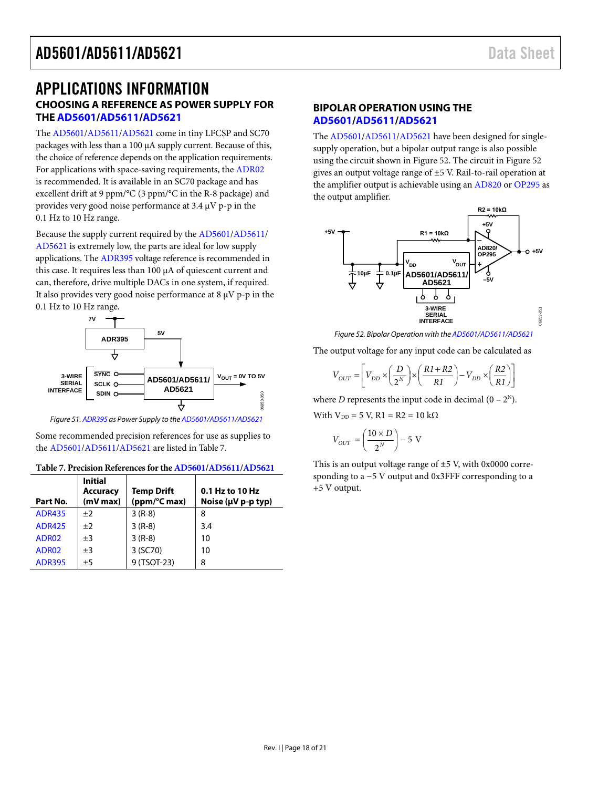### <span id="page-17-1"></span><span id="page-17-0"></span>APPLICATIONS INFORMATION **CHOOSING A REFERENCE AS POWER SUPPLY FOR TH[E AD5601](http://www.analog.com/AD5601?doc=AD5601_5611_5621.pdf)[/AD5611](http://www.analog.com/AD5611?doc=AD5601_5611_5621.pdf)[/AD5621](http://www.analog.com/AD5621?doc=AD5601_5611_5621.pdf)**

The [AD5601/](http://www.analog.com/AD5601?doc=AD5601_5611_5621.pdf)[AD5611/](http://www.analog.com/AD5611?doc=AD5601_5611_5621.pdf)[AD5621](http://www.analog.com/AD5621?doc=AD5601_5611_5621.pdf) come in tiny LFCSP and SC70 packages with less than a 100 µA supply current. Because of this, the choice of reference depends on the application requirements. For applications with space-saving requirements, th[e ADR02](http://www.analog.com/adr02?doc=AD5601_5611_5621.pdf) is recommended. It is available in an SC70 package and has excellent drift at 9 ppm/°C (3 ppm/°C in the R-8 package) and provides very good noise performance at 3.4 µV p-p in the 0.1 Hz to 10 Hz range.

Because the supply current required by the [AD5601/](http://www.analog.com/AD5601?doc=AD5601_5611_5621.pdf)[AD5611/](http://www.analog.com/AD5611?doc=AD5601_5611_5621.pdf) [AD5621](http://www.analog.com/AD5621?doc=AD5601_5611_5621.pdf) is extremely low, the parts are ideal for low supply applications. Th[e ADR395](http://www.analog.com/adr395?doc=AD5601_5611_5621.pdf) voltage reference is recommended in this case. It requires less than 100 µA of quiescent current and can, therefore, drive multiple DACs in one system, if required. It also provides very good noise performance at  $8 \mu V$  p-p in the 0.1 Hz to 10 Hz range.



*Figure 51[. ADR395](http://www.analog.com/adr395?doc=AD5601_5611_5621.pdf) as Power Supply to th[e AD5601/](http://www.analog.com/AD5601?doc=AD5601_5611_5621.pdf)[AD5611/](http://www.analog.com/AD5611?doc=AD5601_5611_5621.pdf)[AD5621](http://www.analog.com/AD5621?doc=AD5601_5611_5621.pdf)*

Some recommended precision references for use as supplies to the [AD5601](http://www.analog.com/AD5601?doc=AD5601_5611_5621.pdf)[/AD5611/](http://www.analog.com/AD5611?doc=AD5601_5611_5621.pdf)[AD5621](http://www.analog.com/AD5621?doc=AD5601_5611_5621.pdf) are listed in [Table 7.](#page-17-3) 

<span id="page-17-3"></span>

| Part No.      | <b>Initial</b><br><b>Accuracy</b><br>$(mV$ max $)$ | <b>Temp Drift</b><br>(ppm/°C max) | 0.1 Hz to 10 Hz<br>Noise ( $\mu$ V p-p typ) |
|---------------|----------------------------------------------------|-----------------------------------|---------------------------------------------|
| <b>ADR435</b> | ±2                                                 | $3(R-8)$                          | 8                                           |
| <b>ADR425</b> | ±2                                                 | $3(R-8)$                          | 3.4                                         |
| ADR02         | ±3                                                 | $3(R-8)$                          | 10                                          |
| ADR02         | $\pm 3$                                            | 3 (SC70)                          | 10                                          |
| <b>ADR395</b> | ±5                                                 | 9 (TSOT-23)                       | 8                                           |

#### <span id="page-17-2"></span>**BIPOLAR OPERATION USING THE [AD5601/](http://www.analog.com/AD5601?doc=AD5601_5611_5621.pdf)[AD5611](http://www.analog.com/AD5611?doc=AD5601_5611_5621.pdf)[/AD5621](http://www.analog.com/AD5621?doc=AD5601_5611_5621.pdf)**

The [AD5601/](http://www.analog.com/AD5601?doc=AD5601_5611_5621.pdf)[AD5611/](http://www.analog.com/AD5611?doc=AD5601_5611_5621.pdf)[AD5621](http://www.analog.com/AD5621?doc=AD5601_5611_5621.pdf) have been designed for singlesupply operation, but a bipolar output range is also possible using the circuit shown i[n Figure](#page-17-4) 52. The circuit in [Figure](#page-17-4) 52 gives an output voltage range of ±5 V. Rail-to-rail operation at the amplifier output is achievable using an [AD820](http://www.analog.com/ad820?doc=AD5601_5611_5621.pdf) or [OP295](http://www.analog.com/op295?doc=AD5601_5611_5621.pdf) as the output amplifier.



*Figure 52. Bipolar Operation with th[e AD5601/](http://www.analog.com/AD5601?doc=AD5601_5611_5621.pdf)[AD5611/](http://www.analog.com/AD5611?doc=AD5601_5611_5621.pdf)[AD5621](http://www.analog.com/AD5621?doc=AD5601_5611_5621.pdf)*

<span id="page-17-4"></span>The output voltage for any input code can be calculated as

$$
V_{OUT}=\left[V_{DD}\times\left(\frac{D}{2^N}\right)\times\left(\frac{R1+R2}{R1}\right)-V_{DD}\times\left(\frac{R2}{R1}\right)\right]
$$

where *D* represents the input code in decimal  $(0 - 2^N)$ .

With  $V_{DD} = 5$  V,  $R1 = R2 = 10$  k $\Omega$ 

$$
V_{OUT} = \left(\frac{10 \times D}{2^N}\right) - 5 \text{ V}
$$

This is an output voltage range of ±5 V, with 0x0000 corresponding to a −5 V output and 0x3FFF corresponding to a +5 V output.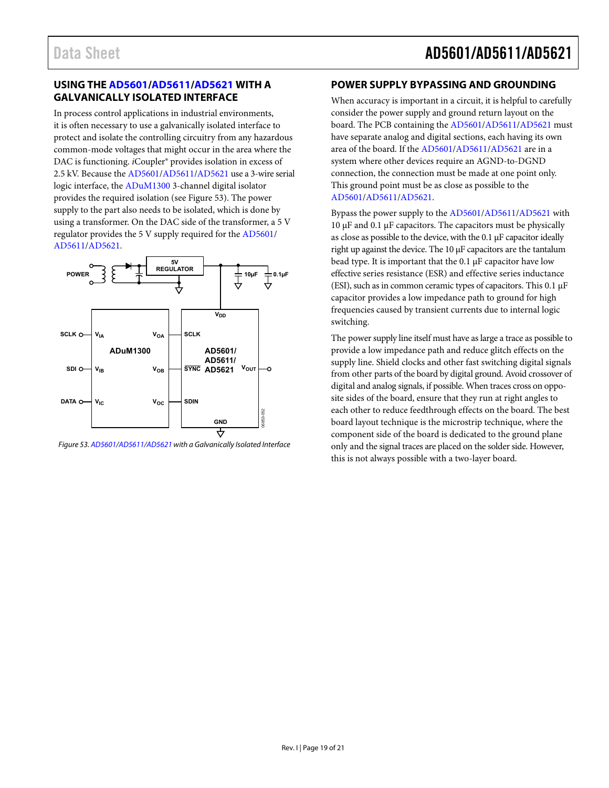#### <span id="page-18-0"></span>**USING TH[E AD5601](http://www.analog.com/AD5601?doc=AD5601_5611_5621.pdf)[/AD5611](http://www.analog.com/AD5611?doc=AD5601_5611_5621.pdf)[/AD5621](http://www.analog.com/AD5621?doc=AD5601_5611_5621.pdf) WITH A GALVANICALLY ISOLATED INTERFACE**

In process control applications in industrial environments, it is often necessary to use a galvanically isolated interface to protect and isolate the controlling circuitry from any hazardous common-mode voltages that might occur in the area where the DAC is functioning. *i*Coupler<sup>®</sup> provides isolation in excess of 2.5 kV. Because th[e AD5601](http://www.analog.com/AD5601?doc=AD5601_5611_5621.pdf)[/AD5611/](http://www.analog.com/AD5611?doc=AD5601_5611_5621.pdf)[AD5621](http://www.analog.com/AD5621?doc=AD5601_5611_5621.pdf) use a 3-wire serial logic interface, the [ADuM1300 3](http://www.analog.com/adum1300?doc=AD5601_5611_5621.pdf)-channel digital isolator provides the required isolation (se[e Figure 53\)](#page-18-2). The power supply to the part also needs to be isolated, which is done by using a transformer. On the DAC side of the transformer, a 5 V regulator provides the 5 V supply required for the [AD5601/](http://www.analog.com/AD5601?doc=AD5601_5611_5621.pdf) [AD5611/](http://www.analog.com/AD5611?doc=AD5601_5611_5621.pdf)[AD5621.](http://www.analog.com/AD5621?doc=AD5601_5611_5621.pdf) 



<span id="page-18-2"></span>Figure 53[. AD5601](http://www.analog.com/AD5601?doc=AD5601_5611_5621.pdf)[/AD5611](http://www.analog.com/AD5611?doc=AD5601_5611_5621.pdf)[/AD5621 w](http://www.analog.com/AD5621?doc=AD5601_5611_5621.pdf)ith a Galvanically Isolated Interface

#### <span id="page-18-1"></span>**POWER SUPPLY BYPASSING AND GROUNDING**

When accuracy is important in a circuit, it is helpful to carefully consider the power supply and ground return layout on the board. The PCB containing the [AD5601/](http://www.analog.com/AD5601?doc=AD5601_5611_5621.pdf)[AD5611/](http://www.analog.com/AD5611?doc=AD5601_5611_5621.pdf)[AD5621 m](http://www.analog.com/AD5621?doc=AD5601_5611_5621.pdf)ust have separate analog and digital sections, each having its own area of the board. If th[e AD5601/](http://www.analog.com/AD5601?doc=AD5601_5611_5621.pdf)[AD5611/](http://www.analog.com/AD5611?doc=AD5601_5611_5621.pdf)[AD5621](http://www.analog.com/AD5621?doc=AD5601_5611_5621.pdf) are in a system where other devices require an AGND-to-DGND connection, the connection must be made at one point only. This ground point must be as close as possible to the [AD5601/](http://www.analog.com/AD5601?doc=AD5601_5611_5621.pdf)[AD5611/](http://www.analog.com/AD5611?doc=AD5601_5611_5621.pdf)[AD5621.](http://www.analog.com/AD5621?doc=AD5601_5611_5621.pdf) 

Bypass the power supply to th[e AD5601](http://www.analog.com/AD5601?doc=AD5601_5611_5621.pdf)[/AD5611](http://www.analog.com/AD5611?doc=AD5601_5611_5621.pdf)[/AD5621](http://www.analog.com/AD5621?doc=AD5601_5611_5621.pdf) with 10 μF and 0.1 μF capacitors. The capacitors must be physically as close as possible to the device, with the 0.1 μF capacitor ideally right up against the device. The 10 μF capacitors are the tantalum bead type. It is important that the 0.1  $\mu$ F capacitor have low effective series resistance (ESR) and effective series inductance (ESI), such as in common ceramic types of capacitors. This 0.1 μF capacitor provides a low impedance path to ground for high frequencies caused by transient currents due to internal logic switching.

The power supply line itself must have as large a trace as possible to provide a low impedance path and reduce glitch effects on the supply line. Shield clocks and other fast switching digital signals from other parts of the board by digital ground. Avoid crossover of digital and analog signals, if possible. When traces cross on opposite sides of the board, ensure that they run at right angles to each other to reduce feedthrough effects on the board. The best board layout technique is the microstrip technique, where the component side of the board is dedicated to the ground plane only and the signal traces are placed on the solder side. However, this is not always possible with a two-layer board.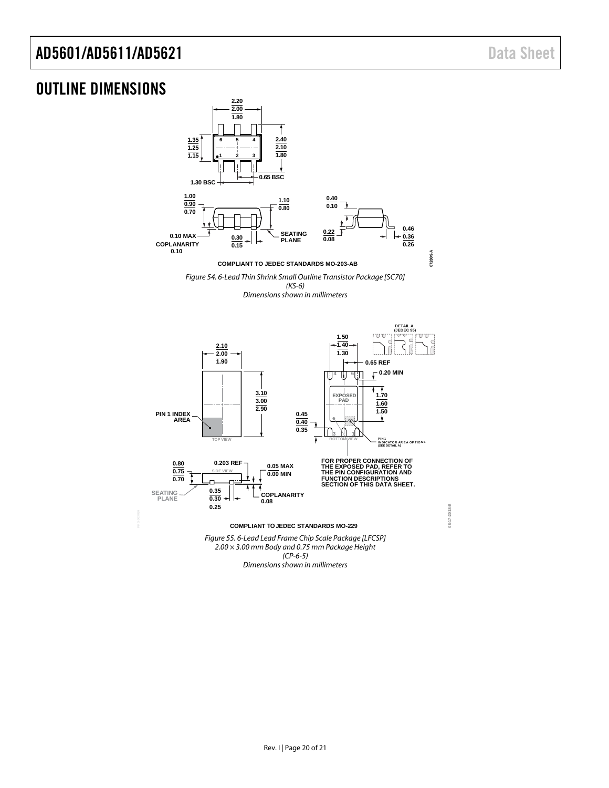**08-17-2018-B**

08-17-2018-B

### <span id="page-19-0"></span>OUTLINE DIMENSIONS